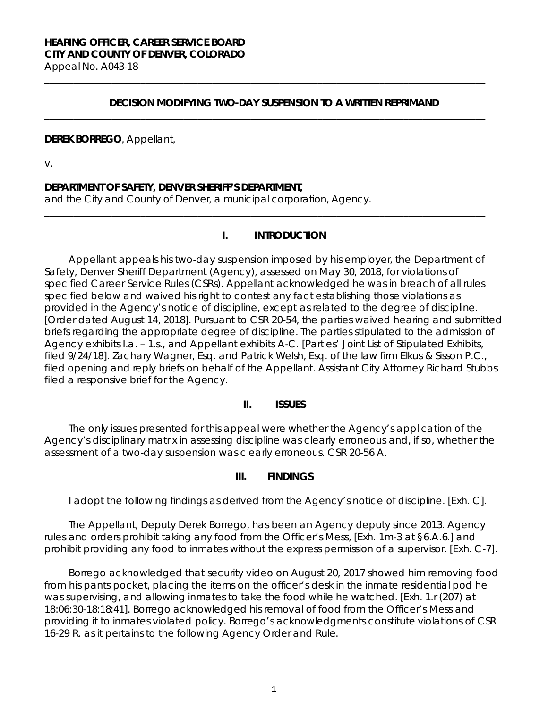### **DECISION MODIFYING TWO-DAY SUSPENSION TO A WRITTEN REPRIMAND**

**\_\_\_\_\_\_\_\_\_\_\_\_\_\_\_\_\_\_\_\_\_\_\_\_\_\_\_\_\_\_\_\_\_\_\_\_\_\_\_\_\_\_\_\_\_\_\_\_\_\_\_\_\_\_\_\_\_\_\_\_\_\_\_\_\_\_\_\_\_\_\_\_\_\_\_\_\_\_\_\_\_\_\_\_\_\_\_\_\_\_\_\_**

**\_\_\_\_\_\_\_\_\_\_\_\_\_\_\_\_\_\_\_\_\_\_\_\_\_\_\_\_\_\_\_\_\_\_\_\_\_\_\_\_\_\_\_\_\_\_\_\_\_\_\_\_\_\_\_\_\_\_\_\_\_\_\_\_\_\_\_\_\_\_\_\_\_\_\_\_\_\_\_\_\_\_\_\_\_\_\_\_\_\_\_\_**

### **DEREK BORREGO**, Appellant,

v.

### **DEPARTMENT OF SAFETY, DENVER SHERIFF'S DEPARTMENT,**

and the City and County of Denver, a municipal corporation, Agency.

#### **I. INTRODUCTION**

**\_\_\_\_\_\_\_\_\_\_\_\_\_\_\_\_\_\_\_\_\_\_\_\_\_\_\_\_\_\_\_\_\_\_\_\_\_\_\_\_\_\_\_\_\_\_\_\_\_\_\_\_\_\_\_\_\_\_\_\_\_\_\_\_\_\_\_\_\_\_\_\_\_\_\_\_\_\_\_\_\_\_\_\_\_\_\_\_\_\_\_\_**

Appellant appeals his two-day suspension imposed by his employer, the Department of Safety, Denver Sheriff Department (Agency), assessed on May 30, 2018, for violations of specified Career Service Rules (CSRs). Appellant acknowledged he was in breach of all rules specified below and waived his right to contest any fact establishing those violations as provided in the Agency's notice of discipline, except as related to the degree of discipline. [Order dated August 14, 2018]. Pursuant to CSR 20-54, the parties waived hearing and submitted briefs regarding the appropriate degree of discipline. The parties stipulated to the admission of Agency exhibits I.a. – 1.s., and Appellant exhibits A-C. [Parties' Joint List of Stipulated Exhibits, filed 9/24/18]. Zachary Wagner, Esq. and Patrick Welsh, Esq. of the law firm Elkus & Sisson P.C., filed opening and reply briefs on behalf of the Appellant. Assistant City Attorney Richard Stubbs filed a responsive brief for the Agency.

#### **II. ISSUES**

The only issues presented for this appeal were whether the Agency's application of the Agency's disciplinary matrix in assessing discipline was clearly erroneous and, if so, whether the assessment of a two-day suspension was clearly erroneous. CSR 20-56 A.

### **III. FINDINGS**

I adopt the following findings as derived from the Agency's notice of discipline. [Exh. C].

The Appellant, Deputy Derek Borrego, has been an Agency deputy since 2013. Agency rules and orders prohibit taking any food from the Officer's Mess, [Exh. 1m-3 at §6.A.6.] and prohibit providing any food to inmates without the express permission of a supervisor. [Exh. C-7].

Borrego acknowledged that security video on August 20, 2017 showed him removing food from his pants pocket, placing the items on the officer's desk in the inmate residential pod he was supervising, and allowing inmates to take the food while he watched. [Exh. 1.r (207) at 18:06:30-18:18:41]. Borrego acknowledged his removal of food from the Officer's Mess and providing it to inmates violated policy. Borrego's acknowledgments constitute violations of CSR 16-29 R. as it pertains to the following Agency Order and Rule.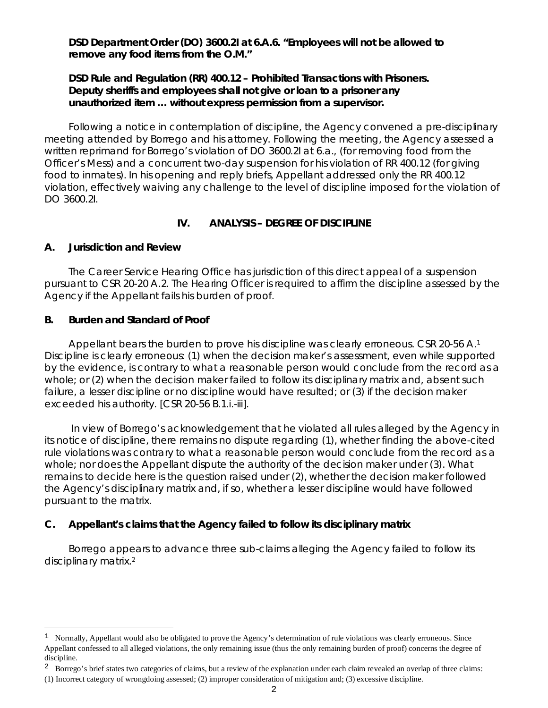**DSD Department Order (DO) 3600.2I at 6.A.6. "Employees will not be allowed to remove any food items from the O.M."**

**DSD Rule and Regulation (RR) 400.12 – Prohibited Transactions with Prisoners. Deputy sheriffs and employees shall not give or loan to a prisoner any unauthorized item … without express permission from a supervisor.** 

Following a notice in contemplation of discipline, the Agency convened a pre-disciplinary meeting attended by Borrego and his attorney. Following the meeting, the Agency assessed a written reprimand for Borrego's violation of DO 3600.2I at 6.a., (for removing food from the Officer's Mess) and a concurrent two-day suspension for his violation of RR 400.12 (for giving food to inmates). In his opening and reply briefs, Appellant addressed only the RR 400.12 violation, effectively waiving any challenge to the level of discipline imposed for the violation of DO 3600.2I.

## **IV. ANALYSIS – DEGREE OF DISCIPLINE**

## **A. Jurisdiction and Review**

The Career Service Hearing Office has jurisdiction of this direct appeal of a suspension pursuant to CSR 20-20 A.2. The Hearing Officer is required to affirm the discipline assessed by the Agency if the Appellant fails his burden of proof.

### **B. Burden and Standard of Proof**

Ξ

Appellant bears the burden to prove his discipline was clearly erroneous. CSR 20-56 A.<sup>[1](#page-1-0)</sup> Discipline is clearly erroneous: (1) when the decision maker's assessment, even while supported by the evidence, is contrary to what a reasonable person would conclude from the record as a whole; or (2) when the decision maker failed to follow its disciplinary matrix and, absent such failure, a lesser discipline or no discipline would have resulted; or (3) if the decision maker exceeded his authority. [CSR 20-56 B.1.i.-iii].

In view of Borrego's acknowledgement that he violated all rules alleged by the Agency in its notice of discipline, there remains no dispute regarding (1), whether finding the above-cited rule violations was contrary to what a reasonable person would conclude from the record as a whole; nor does the Appellant dispute the authority of the decision maker under (3). What remains to decide here is the question raised under (2), whether the decision maker followed the Agency's disciplinary matrix and, if so, whether a lesser discipline would have followed pursuant to the matrix.

## **C. Appellant's claims that the Agency failed to follow its disciplinary matrix**

Borrego appears to advance three sub-claims alleging the Agency failed to follow its disciplinary matrix[.2](#page-1-1)

<span id="page-1-0"></span> $1$  Normally, Appellant would also be obligated to prove the Agency's determination of rule violations was clearly erroneous. Since Appellant confessed to all alleged violations, the only remaining issue (thus the only remaining burden of proof) concerns the degree of discipline.

<span id="page-1-1"></span><sup>&</sup>lt;sup>2</sup> Borrego's brief states two categories of claims, but a review of the explanation under each claim revealed an overlap of three claims:

<sup>(1)</sup> Incorrect category of wrongdoing assessed; (2) improper consideration of mitigation and; (3) excessive discipline.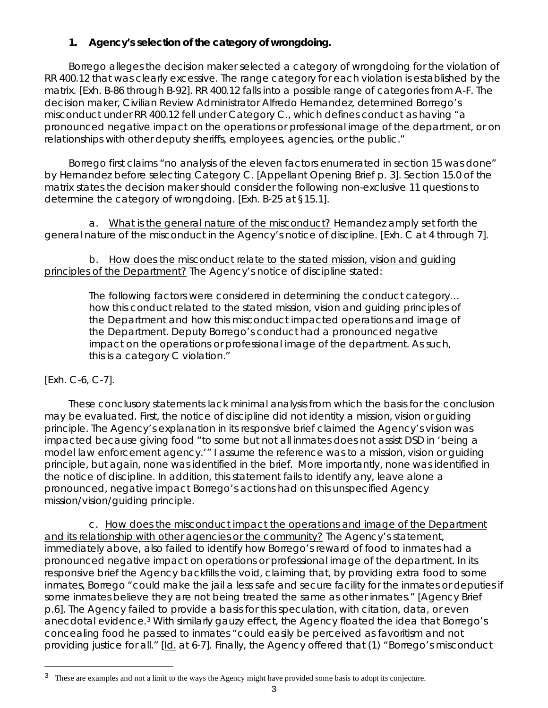# **1. Agency's selection of the category of wrongdoing.**

Borrego alleges the decision maker selected a category of wrongdoing for the violation of RR 400.12 that was clearly excessive. The range category for each violation is established by the matrix. [Exh. B-86 through B-92]. RR 400.12 falls into a possible range of categories from A-F. The decision maker, Civilian Review Administrator Alfredo Hernandez, determined Borrego's misconduct under RR 400.12 fell under Category C., which defines conduct as having "*a pronounced negative impact on the operations or professional image of the department, or on relationships with other deputy sheriffs, employees, agencies, or the public*."

Borrego first claims "no analysis of the eleven factors enumerated in section 15 was done" by Hernandez before selecting Category C. [Appellant Opening Brief p. 3]. Section 15.0 of the matrix states the decision maker should consider the following non-exclusive 11 questions to determine the category of wrongdoing. [Exh. B-25 at §15.1].

a. What is the general nature of the misconduct? Hernandez amply set forth the general nature of the misconduct in the Agency's notice of discipline. [Exh. C at 4 through 7].

b. How does the misconduct relate to the stated mission, vision and guiding principles of the Department? The Agency's notice of discipline stated:

> The following factors were considered in determining the conduct category… how this conduct related to the stated mission, vision and guiding principles of the Department and how this misconduct impacted operations and image of the Department. Deputy Borrego's conduct had a pronounced negative impact on the operations or professional image of the department. As such, this is a category C violation."

# [Exh. C-6, C-7].

These conclusory statements lack minimal analysis from which the basis for the conclusion may be evaluated. First, the notice of discipline did not identity a mission, vision or guiding principle. The Agency's explanation in its responsive brief claimed the Agency's vision was impacted because giving food "to some but not all inmates does not assist DSD in 'being a model law enforcement agency.'" I assume the reference was to a mission, vision or guiding principle, but again, none was identified in the brief. More importantly, none was identified in the notice of discipline. In addition, this statement fails to identify any, leave alone a pronounced, negative impact Borrego's actions had on this unspecified Agency mission/vision/guiding principle.

c. How does the misconduct impact the operations and image of the Department and its relationship with other agencies or the community? The Agency's statement, immediately above, also failed to identify how Borrego's reward of food to inmates had a pronounced negative impact on operations or professional image of the department. In its responsive brief the Agency backfills the void, claiming that, by providing extra food to some inmates, Borrego "could make the jail a less safe and secure facility for the inmates or deputies if some inmates believe they are not being treated the same as other inmates." [Agency Brief p.6]. The Agency failed to provide a basis for this speculation, with citation, data, or even anecdotal evidence.[3](#page-2-0) With similarly gauzy effect, the Agency floated the idea that Borrego's concealing food he passed to inmates "could easily be perceived as favoritism and not providing justice for all." [Id. at 6-7]. Finally, the Agency offered that (1) "Borrego's misconduct

<span id="page-2-0"></span>Ξ These are examples and not a limit to the ways the Agency might have provided some basis to adopt its conjecture.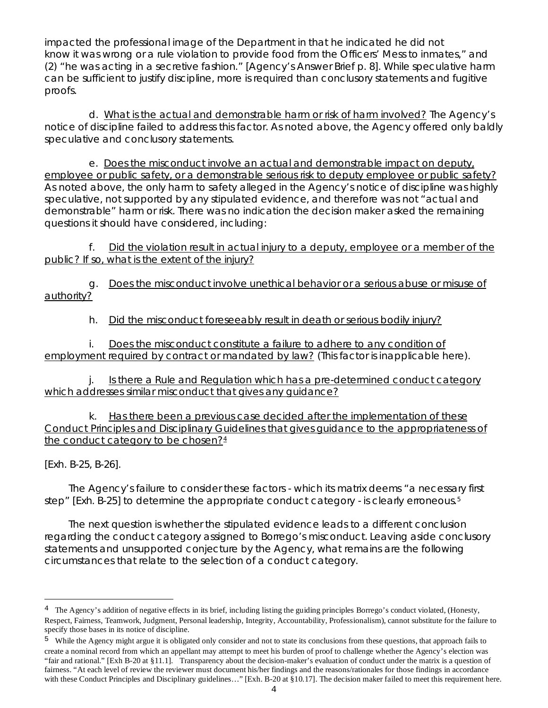impacted the professional image of the Department in that he indicated he did not know it was wrong or a rule violation to provide food from the Officers' Mess to inmates," and (2) "he was acting in a secretive fashion." [Agency's Answer Brief p. 8]. While speculative harm can be sufficient to justify discipline, more is required than conclusory statements and fugitive proofs.

d. What is the actual and demonstrable harm or risk of harm involved? The Agency's notice of discipline failed to address this factor. As noted above, the Agency offered only baldly speculative and conclusory statements.

e. Does the misconduct involve an actual and demonstrable impact on deputy, employee or public safety, or a demonstrable serious risk to deputy employee or public safety? As noted above, the only harm to safety alleged in the Agency's notice of discipline was highly speculative, not supported by any stipulated evidence, and therefore was not "actual and demonstrable" harm or risk. There was no indication the decision maker asked the remaining questions it should have considered, including:

f. Did the violation result in actual injury to a deputy, employee or a member of the public? If so, what is the extent of the injury?

g. Does the misconduct involve unethical behavior or a serious abuse or misuse of authority?

h. Did the misconduct foreseeably result in death or serious bodily injury?

i. Does the misconduct constitute a failure to adhere to any condition of employment required by contract or mandated by law? (This factor is inapplicable here).

j. Is there a Rule and Regulation which has a pre-determined conduct category which addresses similar misconduct that gives any guidance?

k. Has there been a previous case decided after the implementation of these Conduct Principles and Disciplinary Guidelines that gives guidance to the appropriateness of the conduct category to be chosen? $4$ 

[Exh. B-25, B-26].

Ξ

The Agency's failure to consider these factors - which its matrix deems "a necessary first step" [Exh. B-2[5](#page-3-1)] to determine the appropriate conduct category - is clearly erroneous.<sup>5</sup>

The next question is whether the stipulated evidence leads to a different conclusion regarding the conduct category assigned to Borrego's misconduct. Leaving aside conclusory statements and unsupported conjecture by the Agency, what remains are the following circumstances that relate to the selection of a conduct category.

<span id="page-3-0"></span><sup>&</sup>lt;sup>4</sup> The Agency's addition of negative effects in its brief, including listing the guiding principles Borrego's conduct violated, (Honesty, Respect, Fairness, Teamwork, Judgment, Personal leadership, Integrity, Accountability, Professionalism), cannot substitute for the failure to specify those bases in its notice of discipline.

<span id="page-3-1"></span><sup>&</sup>lt;sup>5</sup> While the Agency might argue it is obligated only consider and not to state its conclusions from these questions, that approach fails to create a nominal record from which an appellant may attempt to meet his burden of proof to challenge whether the Agency's election was "fair and rational." [Exh B-20 at §11.1]. Transparency about the decision-maker's evaluation of conduct under the matrix is a question of fairness. "At each level of review the reviewer must document his/her findings and the reasons/rationales for those findings in accordance with these Conduct Principles and Disciplinary guidelines…" [Exh. B-20 at §10.17]. The decision maker failed to meet this requirement here.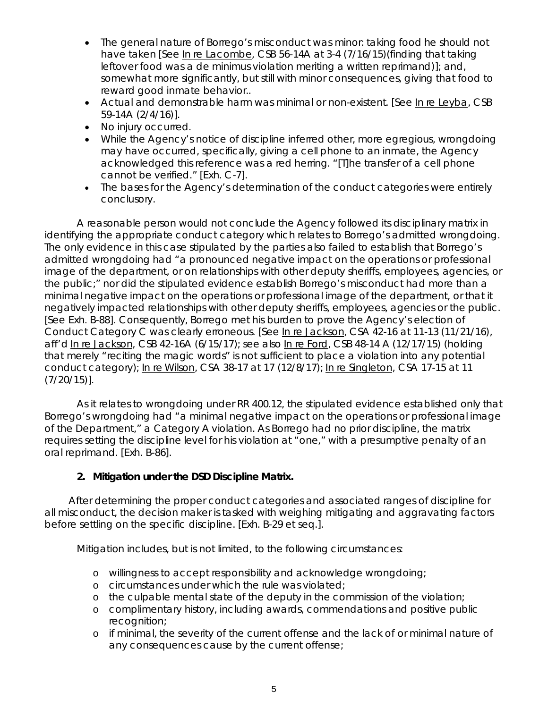- The general nature of Borrego's misconduct was minor: taking food he should not have taken [*See* In re Lacombe, CSB 56-14A at 3-4 (7/16/15)(finding that taking leftover food was a *de minimus* violation meriting a written reprimand)]; and, somewhat more significantly, but still with minor consequences, giving that food to reward good inmate behavior..
- Actual and demonstrable harm was minimal or non-existent. [*See* In re Leyba, CSB 59-14A (2/4/16)].
- No injury occurred.
- While the Agency's notice of discipline inferred other, more egregious, wrongdoing may have occurred, specifically, giving a cell phone to an inmate, the Agency acknowledged this reference was a red herring. "[T]he transfer of a cell phone cannot be verified." [Exh. C-7].
- The bases for the Agency's determination of the conduct categories were entirely conclusory.

A reasonable person would not conclude the Agency followed its disciplinary matrix in identifying the appropriate conduct category which relates to Borrego's admitted wrongdoing. The only evidence in this case stipulated by the parties also failed to establish that Borrego's admitted wrongdoing had "a pronounced negative impact on the operations or professional image of the department, or on relationships with other deputy sheriffs, employees, agencies, or the public;" nor did the stipulated evidence establish Borrego's misconduct had more than a minimal negative impact on the operations or professional image of the department, or that it negatively impacted relationships with other deputy sheriffs, employees, agencies or the public. [*See* Exh. B-88]. Consequently, Borrego met his burden to prove the Agency's election of Conduct Category C was clearly erroneous. [*See* In re Jackson, CSA 42-16 at 11-13 (11/21/16), *aff'd* In re Jackson, CSB 42-16A (6/15/17); *see also* In re Ford, CSB 48-14 A (12/17/15) (holding that merely "reciting the magic words" is not sufficient to place a violation into any potential conduct category); In re Wilson, CSA 38-17 at 17 (12/8/17); In re Singleton, CSA 17-15 at 11 (7/20/15)].

As it relates to wrongdoing under RR 400.12, the stipulated evidence established only that Borrego's wrongdoing had "a minimal negative impact on the operations or professional image of the Department," a Category A violation. As Borrego had no prior discipline, the matrix requires setting the discipline level for his violation at "one," with a presumptive penalty of an oral reprimand. [Exh. B-86].

# **2. Mitigation under the DSD Discipline Matrix.**

After determining the proper conduct categories and associated ranges of discipline for all misconduct, the decision maker is tasked with weighing mitigating and aggravating factors before settling on the specific discipline. [Exh. B-29 et seq.].

Mitigation includes, but is not limited, to the following circumstances:

- o willingness to accept responsibility and acknowledge wrongdoing;
- o circumstances under which the rule was violated;
- o the culpable mental state of the deputy in the commission of the violation;
- o complimentary history, including awards, commendations and positive public recognition;
- o if minimal, the severity of the current offense and the lack of or minimal nature of any consequences cause by the current offense;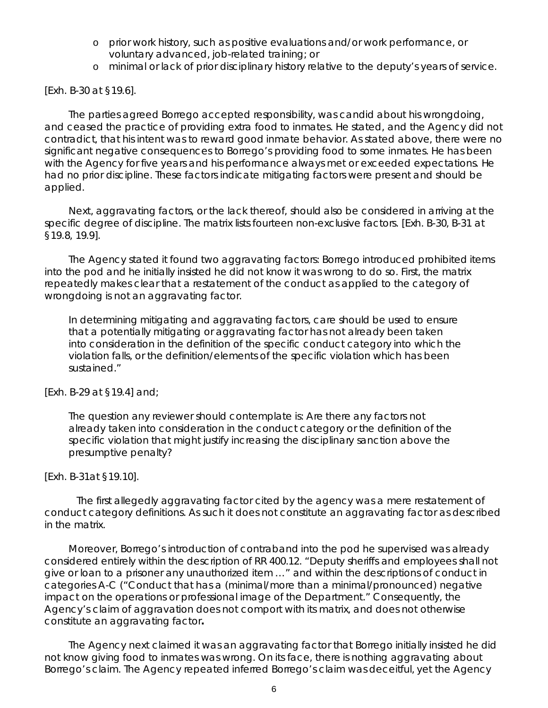- o prior work history, such as positive evaluations and/or work performance, or voluntary advanced, job-related training; or
- o minimal or lack of prior disciplinary history relative to the deputy's years of service.

[Exh. B-30 at §19.6].

The parties agreed Borrego accepted responsibility, was candid about his wrongdoing, and ceased the practice of providing extra food to inmates. He stated, and the Agency did not contradict, that his intent was to reward good inmate behavior. As stated above, there were no significant negative consequences to Borrego's providing food to some inmates. He has been with the Agency for five years and his performance always met or exceeded expectations. He had no prior discipline. These factors indicate mitigating factors were present and should be applied.

Next, aggravating factors, or the lack thereof, should also be considered in arriving at the specific degree of discipline. The matrix lists fourteen non-exclusive factors. [Exh. B-30, B-31 at §19.8, 19.9].

The Agency stated it found two aggravating factors: Borrego introduced prohibited items into the pod and he initially insisted he did not know it was wrong to do so. First, the matrix repeatedly makes clear that a restatement of the conduct as applied to the category of wrongdoing is not an aggravating factor.

In determining mitigating and aggravating factors, care should be used to ensure that a potentially mitigating or aggravating factor has not already been taken into consideration in the definition of the specific conduct category into which the violation falls, or the definition/elements of the specific violation which has been sustained."

[Exh. B-29 at §19.4] and;

The question any reviewer should contemplate is: Are there any factors not already taken into consideration in the conduct category or the definition of the specific violation that might justify increasing the disciplinary sanction above the presumptive penalty?

## [Exh. B-31at §19.10].

The first allegedly aggravating factor cited by the agency was a mere restatement of conduct category definitions. As such it does not constitute an aggravating factor as described in the matrix.

Moreover, Borrego's introduction of contraband into the pod he supervised was already considered entirely within the description of RR 400.12. "Deputy sheriffs and employees shall not give or loan to a prisoner any unauthorized item …" and within the descriptions of conduct in categories A-C ("Conduct that has a (minimal/more than a minimal/pronounced) negative impact on the operations or professional image of the Department." Consequently, the Agency's claim of aggravation does not comport with its matrix, and does not otherwise constitute an aggravating factor**.**

The Agency next claimed it was an aggravating factor that Borrego initially insisted he did not know giving food to inmates was wrong. On its face, there is nothing aggravating about Borrego's claim. The Agency repeated inferred Borrego's claim was deceitful, yet the Agency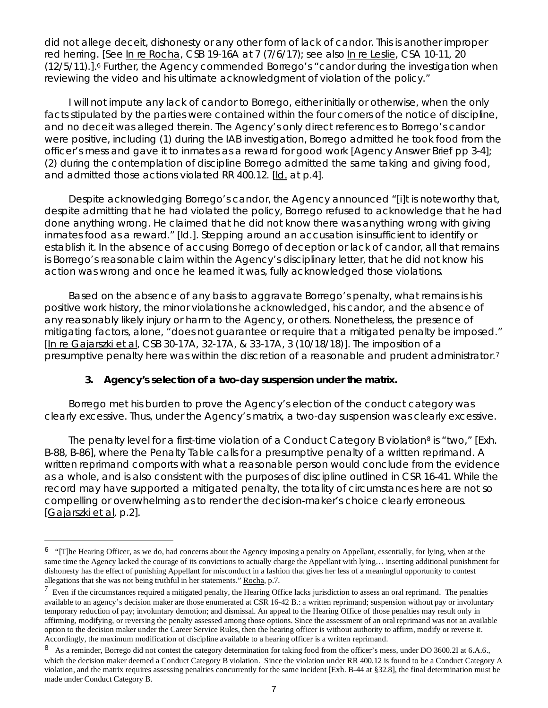did not allege deceit, dishonesty or any other form of lack of candor. This is another improper red herring. [*See* In re Rocha, CSB 19-16A at 7 (7/6/17); *see also* In re Leslie, CSA 10-11, 20 (12/5/11).][.6](#page-6-0) Further, the Agency commended Borrego's "candor during the investigation when reviewing the video and his ultimate acknowledgment of violation of the policy."

I will not impute any lack of candor to Borrego, either initially or otherwise, when the only facts stipulated by the parties were contained within the four corners of the notice of discipline, and no deceit was alleged therein. The Agency's only direct references to Borrego's candor were positive, including (1) during the IAB investigation, Borrego admitted he took food from the officer's mess and gave it to inmates as a reward for good work [Agency Answer Brief pp 3-4]; (2) during the contemplation of discipline Borrego admitted the same taking and giving food, and admitted those actions violated RR 400.12. [*Id*. at p.4].

Despite acknowledging Borrego's candor, the Agency announced "[i]t is noteworthy that, despite admitting that he had violated the policy, Borrego refused to acknowledge that he had done anything wrong. He claimed that he did not know there was anything wrong with giving inmates food as a reward." [*Id*.]. Stepping around an accusation is insufficient to identify or establish it. In the absence of accusing Borrego of deception or lack of candor, all that remains is Borrego's reasonable claim within the Agency's disciplinary letter, that he did not know his action was wrong and once he learned it was, fully acknowledged those violations.

Based on the absence of any basis to aggravate Borrego's penalty, what remains is his positive work history, the minor violations he acknowledged, his candor, and the absence of any reasonably likely injury or harm to the Agency, or others. Nonetheless, the presence of mitigating factors, alone, "does not guarantee or require that a mitigated penalty be imposed." [In re Gajarszki et al, CSB 30-17A, 32-17A, & 33-17A, 3 (10/18/18)]. The imposition of a presumptive penalty here was within the discretion of a reasonable and prudent administrator.<sup>[7](#page-6-1)</sup>

## **3. Agency's selection of a two-day suspension under the matrix.**

Ξ

Borrego met his burden to prove the Agency's election of the conduct category was clearly excessive. Thus, under the Agency's matrix, a two-day suspension was clearly excessive.

The penalty level for a first-time violation of a Conduct Category B violation<sup>[8](#page-6-2)</sup> is "two," [Exh. B-88, B-86], where the Penalty Table calls for a presumptive penalty of a written reprimand. A written reprimand comports with what a reasonable person would conclude from the evidence as a whole, and is also consistent with the purposes of discipline outlined in CSR 16-41. While the record may have supported a mitigated penalty, the totality of circumstances here are not so compelling or overwhelming as to render the decision-maker's choice clearly erroneous. [Gajarszki et al, p.2].

<span id="page-6-0"></span><sup>&</sup>lt;sup>6</sup> "[T]he Hearing Officer, as we do, had concerns about the Agency imposing a penalty on Appellant, essentially, for lying, when at the same time the Agency lacked the courage of its convictions to actually charge the Appellant with lying... inserting additional punishment for dishonesty has the effect of punishing Appellant for misconduct in a fashion that gives her less of a meaningful opportunity to contest allegations that she was not being truthful in her statements." Rocha, p.7.

<span id="page-6-1"></span> $<sup>7</sup>$  Even if the circumstances required a mitigated penalty, the Hearing Office lacks jurisdiction to assess an oral reprimand. The penalties</sup> available to an agency's decision maker are those enumerated at CSR 16-42 B.: a written reprimand; suspension without pay or involuntary temporary reduction of pay; involuntary demotion; and dismissal. An appeal to the Hearing Office of those penalties may result only in affirming, modifying, or reversing the penalty assessed among those options. Since the assessment of an oral reprimand was not an available option to the decision maker under the Career Service Rules, then the hearing officer is without authority to affirm, modify or reverse it. Accordingly, the maximum modification of discipline available to a hearing officer is a written reprimand.

<span id="page-6-2"></span><sup>8</sup> As a reminder, Borrego did not contest the category determination for taking food from the officer's mess, under DO 3600.2I at 6.A.6., which the decision maker deemed a Conduct Category B violation. Since the violation under RR 400.12 is found to be a Conduct Category A violation, and the matrix requires assessing penalties concurrently for the same incident [Exh. B-44 at §32.8], the final determination must be made under Conduct Category B.